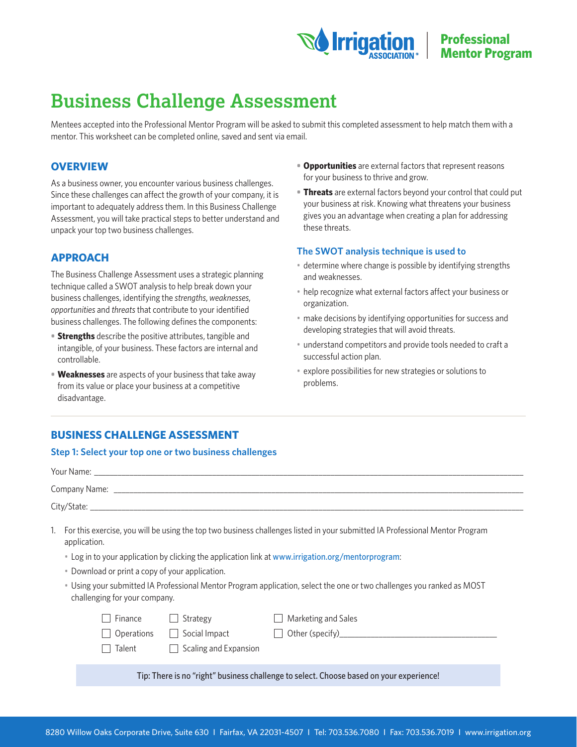

# **Business Challenge Assessment**

Mentees accepted into the Professional Mentor Program will be asked to submit this completed assessment to help match them with a mentor. This worksheet can be completed online, saved and sent via email.

# **OVERVIEW**

As a business owner, you encounter various business challenges. Since these challenges can affect the growth of your company, it is important to adequately address them. In this Business Challenge Assessment, you will take practical steps to better understand and unpack your top two business challenges.

# **APPROACH**

The Business Challenge Assessment uses a strategic planning technique called a SWOT analysis to help break down your business challenges, identifying the *strengths*, *weaknesses*, *opportunities* and *threats* that contribute to your identified business challenges. The following defines the components:

- **• Strengths** describe the positive attributes, tangible and intangible, of your business. These factors are internal and controllable.
- **• Weaknesses** are aspects of your business that take away from its value or place your business at a competitive disadvantage.
- **• Opportunities** are external factors that represent reasons for your business to thrive and grow.
- **• Threats** are external factors beyond your control that could put your business at risk. Knowing what threatens your business gives you an advantage when creating a plan for addressing these threats.

#### **The SWOT analysis technique is used to**

- determine where change is possible by identifying strengths and weaknesses.
- help recognize what external factors affect your business or organization.
- make decisions by identifying opportunities for success and developing strategies that will avoid threats.
- understand competitors and provide tools needed to craft a successful action plan.
- explore possibilities for new strategies or solutions to problems.

# **BUSINESS CHALLENGE ASSESSMENT**

#### **Step 1: Select your top one or two business challenges**

| 1.                                                                                                                                                                                                         | For this exercise, you will be using the top two business challenges listed in your submitted IA Professional Mentor Program<br>application.<br>• Log in to your application by clicking the application link at www.irrigation.org/mentorprogram: |  |  |  |  |
|------------------------------------------------------------------------------------------------------------------------------------------------------------------------------------------------------------|----------------------------------------------------------------------------------------------------------------------------------------------------------------------------------------------------------------------------------------------------|--|--|--|--|
| • Download or print a copy of your application.<br>. Using your submitted IA Professional Mentor Program application, select the one or two challenges you ranked as MOST<br>challenging for your company. |                                                                                                                                                                                                                                                    |  |  |  |  |
|                                                                                                                                                                                                            | Strategy<br>Marketing and Sales<br>Finance<br>$\Box$ Social Impact<br>Operations<br>$\Box$ Scaling and Expansion<br>Talent                                                                                                                         |  |  |  |  |
| Tip: There is no "right" business challenge to select. Choose based on your experience!                                                                                                                    |                                                                                                                                                                                                                                                    |  |  |  |  |
|                                                                                                                                                                                                            |                                                                                                                                                                                                                                                    |  |  |  |  |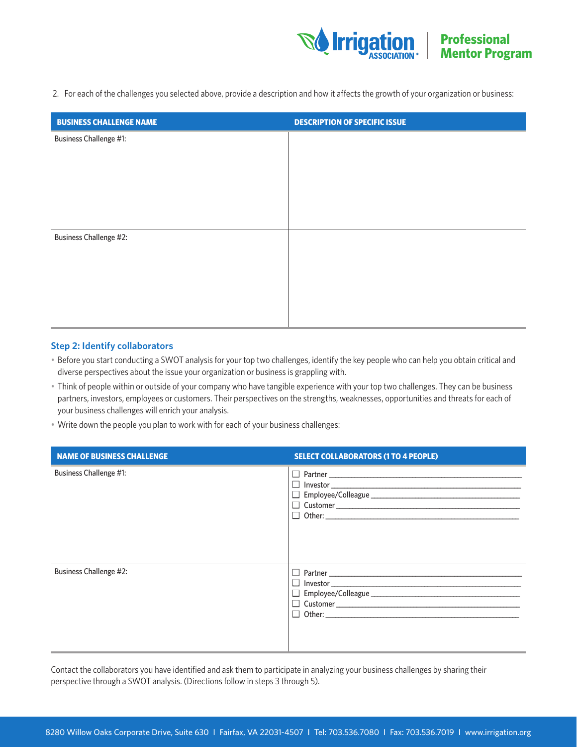

2. For each of the challenges you selected above, provide a description and how it affects the growth of your organization or business:

| <b>BUSINESS CHALLENGE NAME</b> | <b>DESCRIPTION OF SPECIFIC ISSUE</b> |
|--------------------------------|--------------------------------------|
| <b>Business Challenge #1:</b>  |                                      |
|                                |                                      |
|                                |                                      |
|                                |                                      |
|                                |                                      |
| <b>Business Challenge #2:</b>  |                                      |
|                                |                                      |
|                                |                                      |
|                                |                                      |
|                                |                                      |
|                                |                                      |

#### **Step 2: Identify collaborators**

- Before you start conducting a SWOT analysis for your top two challenges, identify the key people who can help you obtain critical and diverse perspectives about the issue your organization or business is grappling with.
- Think of people within or outside of your company who have tangible experience with your top two challenges. They can be business partners, investors, employees or customers. Their perspectives on the strengths, weaknesses, opportunities and threats for each of your business challenges will enrich your analysis.
- Write down the people you plan to work with for each of your business challenges:

| <b>NAME OF BUSINESS CHALLENGE</b> | <b>SELECT COLLABORATORS (1 TO 4 PEOPLE)</b> |
|-----------------------------------|---------------------------------------------|
| <b>Business Challenge #1:</b>     |                                             |
| <b>Business Challenge #2:</b>     |                                             |

Contact the collaborators you have identified and ask them to participate in analyzing your business challenges by sharing their perspective through a SWOT analysis. (Directions follow in steps 3 through 5).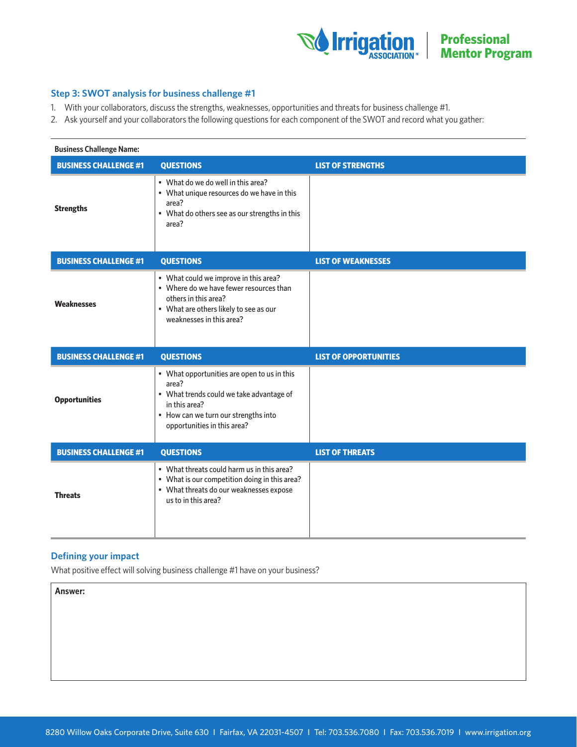

## **Step 3: SWOT analysis for business challenge #1**

- 1. With your collaborators, discuss the strengths, weaknesses, opportunities and threats for business challenge #1.
- 2. Ask yourself and your collaborators the following questions for each component of the SWOT and record what you gather:

| <b>Business Challenge Name:</b> |                                                                                                                                                                                          |                              |  |  |
|---------------------------------|------------------------------------------------------------------------------------------------------------------------------------------------------------------------------------------|------------------------------|--|--|
| <b>BUSINESS CHALLENGE #1</b>    | <b>QUESTIONS</b>                                                                                                                                                                         | <b>LIST OF STRENGTHS</b>     |  |  |
| <b>Strengths</b>                | • What do we do well in this area?<br>• What unique resources do we have in this<br>area?<br>• What do others see as our strengths in this<br>area?                                      |                              |  |  |
| <b>BUSINESS CHALLENGE #1</b>    | <b>QUESTIONS</b>                                                                                                                                                                         | <b>LIST OF WEAKNESSES</b>    |  |  |
| Weaknesses                      | • What could we improve in this area?<br>. Where do we have fewer resources than<br>others in this area?<br>• What are others likely to see as our<br>weaknesses in this area?           |                              |  |  |
|                                 |                                                                                                                                                                                          |                              |  |  |
| <b>BUSINESS CHALLENGE #1</b>    | <b>QUESTIONS</b>                                                                                                                                                                         | <b>LIST OF OPPORTUNITIES</b> |  |  |
| <b>Opportunities</b>            | • What opportunities are open to us in this<br>area?<br>• What trends could we take advantage of<br>in this area?<br>• How can we turn our strengths into<br>opportunities in this area? |                              |  |  |
| <b>BUSINESS CHALLENGE #1</b>    | <b>QUESTIONS</b>                                                                                                                                                                         | <b>LIST OF THREATS</b>       |  |  |

# **Defining your impact**

What positive effect will solving business challenge #1 have on your business?

**Answer:**